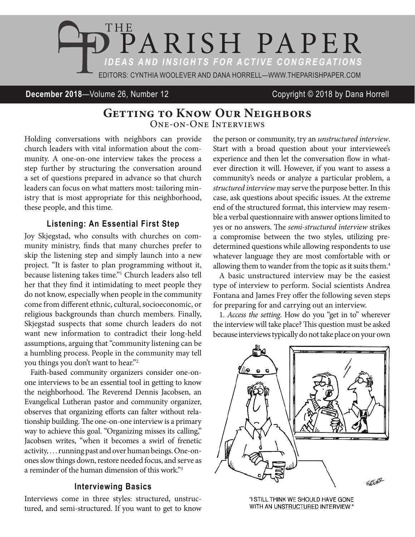

**December 2018**—Volume 26, Number 12 Copyright © 2018 by Dana Horrell

# **Getting to Know Our Neighbors** One-on-One Interviews

Holding conversations with neighbors can provide church leaders with vital information about the community. A one-on-one interview takes the process a step further by structuring the conversation around a set of questions prepared in advance so that church leaders can focus on what matters most: tailoring ministry that is most appropriate for this neighborhood, these people, and this time.

### **Listening: An Essential First Step**

Joy Skjegstad, who consults with churches on community ministry, finds that many churches prefer to skip the listening step and simply launch into a new project. "It is faster to plan programming without it, because listening takes time."1 Church leaders also tell her that they find it intimidating to meet people they do not know, especially when people in the community come from different ethnic, cultural, socioeconomic, or religious backgrounds than church members. Finally, Skjegstad suspects that some church leaders do not want new information to contradict their long-held assumptions, arguing that "community listening can be a humbling process. People in the community may tell you things you don't want to hear."2

Faith-based community organizers consider one-onone interviews to be an essential tool in getting to know the neighborhood. The Reverend Dennis Jacobsen, an Evangelical Lutheran pastor and community organizer, observes that organizing efforts can falter without relationship building. The one-on-one interview is a primary way to achieve this goal. "Organizing misses its calling," Jacobsen writes, "when it becomes a swirl of frenetic activity, . . . running past and over human beings. One-onones slow things down, restore needed focus, and serve as a reminder of the human dimension of this work."3

### **Interviewing Basics**

Interviews come in three styles: structured, unstructured, and semi-structured. If you want to get to know the person or community, try an *unstructured interview*. Start with a broad question about your interviewee's experience and then let the conversation flow in whatever direction it will. However, if you want to assess a community's needs or analyze a particular problem, a *structured interview* may serve the purpose better. In this case, ask questions about specific issues. At the extreme end of the structured format, this interview may resemble a verbal questionnaire with answer options limited to yes or no answers. The *semi-structured interview* strikes a compromise between the two styles, utilizing predetermined questions while allowing respondents to use whatever language they are most comfortable with or allowing them to wander from the topic as it suits them.<sup>4</sup>

A basic unstructured interview may be the easiest type of interview to perform. Social scientists Andrea Fontana and James Frey offer the following seven steps for preparing for and carrying out an interview.

1. *Access the setting*. How do you "get in to" wherever the interview will take place? This question must be asked because interviews typically do not take place on your own



"I STILL THINK WE SHOULD HAVE GONE WITH AN UNSTRUCTURED INTERVIEW."